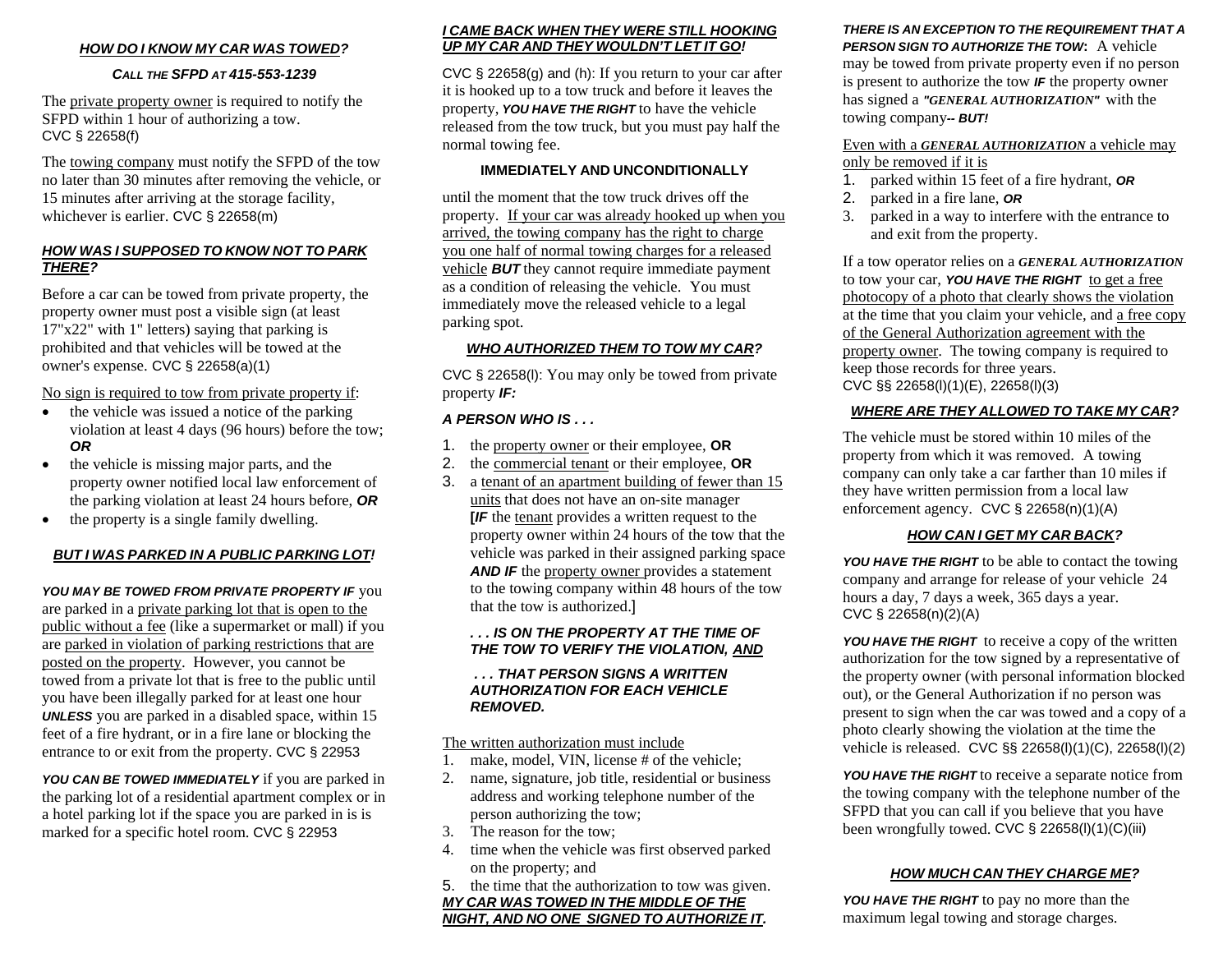### *HOW DO I KNOW MY CAR WAS TOWED?*

#### *CALL THE SFPD AT 415-553-1239*

The private property owner is required to notify the SFPD within 1 hour of authorizing a tow. CVC § 22658(f)

The towing company must notify the SFPD of the tow no later than 30 minutes after removing the vehicle, or 15 minutes after arriving at the storage facility, whichever is earlier. CVC § 22658(m)

#### *HOW WAS I SUPPOSED TO KNOW NOT TO PARK THERE?*

Before a car can be towed from private property, the property owner must post a visible sign (at least 17"x22" with 1" letters) saying that parking is prohibited and that vehicles will be towed at the owner's expense. CVC § 22658(a)(1)

No sign is required to tow from private property if:

- the vehicle was issued a notice of the parking violation at least 4 days (96 hours) before the tow; *OR*
- $\bullet$  the vehicle is missing major parts, and the property owner notified local law enforcement of the parking violation at least 24 hours before, *OR*
- $\bullet$ the property is a single family dwelling.

#### *BUT I WAS PARKED IN A PUBLIC PARKING LOT!*

*YOU MAY BE TOWED FROM PRIVATE PROPERTY IF* you are parked in a private parking lot that is open to the public without a fee (like a supermarket or mall) if you are parked in violation of parking restrictions that are posted on the property. However, you cannot be towed from a private lot that is free to the public until you have been illegally parked for at least one hour *UNLESS* you are parked in a disabled space, within 15 feet of a fire hydrant, or in a fire lane or blocking the entrance to or exit from the property. CVC § 22953

*YOU CAN BE TOWED IMMEDIATELY* if you are parked in the parking lot of a residential apartment complex or in a hotel parking lot if the space you are parked in is is marked for a specific hotel room. CVC § 22953

#### *I CAME BACK WHEN THEY WERE STILL HOOKINGUP MY CAR AND THEY WOULDN'T LET IT GO!*

CVC § 22658(g) and (h): If you return to your car after it is hooked up to a tow truck and before it leaves the property, *YOU HAVE THE RIGHT* to have the vehicle released from the tow truck, but you must pay half the normal towing fee.

#### **IMMEDIATELY AND UNCONDITIONALLY**

until the moment that the tow truck drives off the property. If your car was already hooked up when you arrived, the towing company has the right to charge you one half of normal towing charges for a released vehicle *BUT* they cannot require immediate payment as a condition of releasing the vehicle. You must immediately move the released vehicle to a legal parking spot.

#### *WHO AUTHORIZED THEM TO TOW MY CAR?*

CVC § 22658(l): You may only be towed from private property *IF:*

### *A PERSON WHO IS . . .*

- 1. the property owner or their employee, **OR**
- 2.the commercial tenant or their employee, **OR**
- 3. a tenant of an apartment building of fewer than 15 units that does not have an on-site manager **[***IF* the tenant provides a written request to the property owner within 24 hours of the tow that the vehicle was parked in their assigned parking space **AND IF** the property owner provides a statement to the towing company within 48 hours of the tow that the tow is authorized.]

#### *. . . IS ON THE PROPERTY AT THE TIME OF THE TOW TO VERIFY THE VIOLATION, AND*

#### *. . . THAT PERSON SIGNS A WRITTEN AUTHORIZATION FOR EACH VEHICLE REMOVED.*

The written authorization must include

- 1.make, model, VIN, license # of the vehicle;
- 2. name, signature, job title, residential or business address and working telephone number of the person authorizing the tow;
- 3. The reason for the tow;
- 4. time when the vehicle was first observed parked on the property; and
- 5. the time that the authorization to tow was given.

*MY CAR WAS TOWED IN THE MIDDLE OF THE NIGHT, AND NO ONE SIGNED TO AUTHORIZE IT.*

## *THERE IS AN EXCEPTION TO THE REQUIREMENT THAT A*

*PERSON SIGN TO AUTHORIZE THE TOW***:** A vehicle may be towed from private property even if no person is present to authorize the tow *IF* the property owner has signed a *"GENERAL AUTHORIZATION"* with the towing company*-- BUT!*

#### Even with a *GENERAL AUTHORIZATION* a vehicle may only be removed if it is

- 1. parked within 15 feet of a fire hydrant, *OR*
- 2. parked in a fire lane, *OR*
- 3. parked in a way to interfere with the entrance to and exit from the property.

If a tow operator relies on a *GENERAL AUTHORIZATION* to tow your car, **YOU HAVE THE RIGHT** to get a free photocopy of a photo that clearly shows the violation at the time that you claim your vehicle, and a free copy of the General Authorization agreement with the property owner. The towing company is required to keep those records for three years. CVC §§ 22658(l)(1)(E), 22658(l)(3)

## *WHERE ARE THEY ALLOWED TO TAKE MY CAR?*

The vehicle must be stored within 10 miles of the property from which it was removed. A towing company can only take a car farther than 10 miles if they have written permission from a local law enforcement agency. CVC § 22658(n)(1)(A)

## *HOW CAN I GET MY CAR BACK?*

*YOU HAVE THE RIGHT* to be able to contact the towing company and arrange for release of your vehicle 24 hours a day, 7 days a week, 365 days a year. CVC § 22658(n)(2)(A)

*YOU HAVE THE RIGHT* to receive a copy of the written authorization for the tow signed by a representative of the property owner (with personal information blocked out), or the General Authorization if no person was present to sign when the car was towed and a copy of a photo clearly showing the violation at the time the vehicle is released. CVC §§ 22658(l)(1)(C), 22658(l)(2)

*YOU HAVE THE RIGHT* to receive a separate notice from the towing company with the telephone number of the SFPD that you can call if you believe that you have been wrongfully towed. CVC § 22658(l)(1)(C)(iii)

## *HOW MUCH CAN THEY CHARGE ME?*

*YOU HAVE THE RIGHT* to pay no more than the maximum legal towing and storage charges.